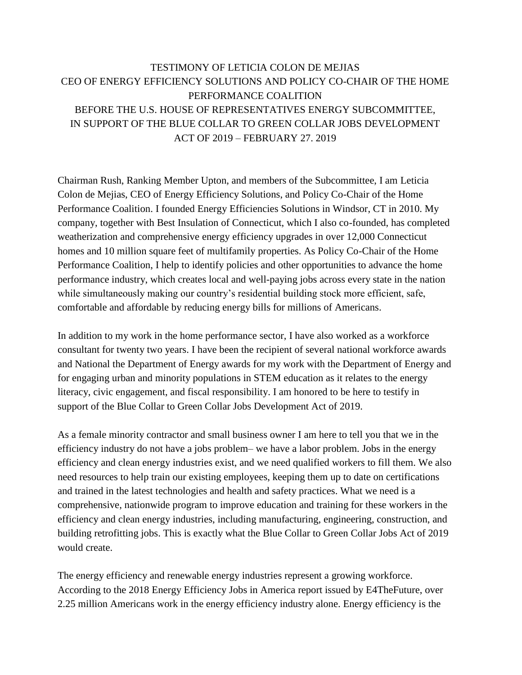## TESTIMONY OF LETICIA COLON DE MEJIAS CEO OF ENERGY EFFICIENCY SOLUTIONS AND POLICY CO-CHAIR OF THE HOME PERFORMANCE COALITION BEFORE THE U.S. HOUSE OF REPRESENTATIVES ENERGY SUBCOMMITTEE, IN SUPPORT OF THE BLUE COLLAR TO GREEN COLLAR JOBS DEVELOPMENT ACT OF 2019 – FEBRUARY 27. 2019

Chairman Rush, Ranking Member Upton, and members of the Subcommittee, I am Leticia Colon de Mejias, CEO of Energy Efficiency Solutions, and Policy Co-Chair of the Home Performance Coalition. I founded Energy Efficiencies Solutions in Windsor, CT in 2010. My company, together with Best Insulation of Connecticut, which I also co-founded, has completed weatherization and comprehensive energy efficiency upgrades in over 12,000 Connecticut homes and 10 million square feet of multifamily properties. As Policy Co-Chair of the Home Performance Coalition, I help to identify policies and other opportunities to advance the home performance industry, which creates local and well-paying jobs across every state in the nation while simultaneously making our country's residential building stock more efficient, safe, comfortable and affordable by reducing energy bills for millions of Americans.

In addition to my work in the home performance sector, I have also worked as a workforce consultant for twenty two years. I have been the recipient of several national workforce awards and National the Department of Energy awards for my work with the Department of Energy and for engaging urban and minority populations in STEM education as it relates to the energy literacy, civic engagement, and fiscal responsibility. I am honored to be here to testify in support of the Blue Collar to Green Collar Jobs Development Act of 2019.

As a female minority contractor and small business owner I am here to tell you that we in the efficiency industry do not have a jobs problem– we have a labor problem. Jobs in the energy efficiency and clean energy industries exist, and we need qualified workers to fill them. We also need resources to help train our existing employees, keeping them up to date on certifications and trained in the latest technologies and health and safety practices. What we need is a comprehensive, nationwide program to improve education and training for these workers in the efficiency and clean energy industries, including manufacturing, engineering, construction, and building retrofitting jobs. This is exactly what the Blue Collar to Green Collar Jobs Act of 2019 would create.

The energy efficiency and renewable energy industries represent a growing workforce. According to the 2018 Energy Efficiency Jobs in America report issued by E4TheFuture, over 2.25 million Americans work in the energy efficiency industry alone. Energy efficiency is the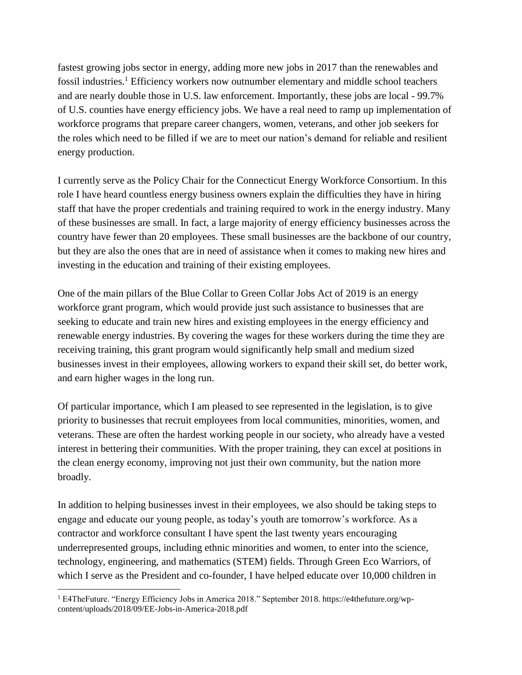fastest growing jobs sector in energy, adding more new jobs in 2017 than the renewables and fossil industries.<sup>1</sup> Efficiency workers now outnumber elementary and middle school teachers and are nearly double those in U.S. law enforcement. Importantly, these jobs are local - 99.7% of U.S. counties have energy efficiency jobs. We have a real need to ramp up implementation of workforce programs that prepare career changers, women, veterans, and other job seekers for the roles which need to be filled if we are to meet our nation's demand for reliable and resilient energy production.

I currently serve as the Policy Chair for the Connecticut Energy Workforce Consortium. In this role I have heard countless energy business owners explain the difficulties they have in hiring staff that have the proper credentials and training required to work in the energy industry. Many of these businesses are small. In fact, a large majority of energy efficiency businesses across the country have fewer than 20 employees. These small businesses are the backbone of our country, but they are also the ones that are in need of assistance when it comes to making new hires and investing in the education and training of their existing employees.

One of the main pillars of the Blue Collar to Green Collar Jobs Act of 2019 is an energy workforce grant program, which would provide just such assistance to businesses that are seeking to educate and train new hires and existing employees in the energy efficiency and renewable energy industries. By covering the wages for these workers during the time they are receiving training, this grant program would significantly help small and medium sized businesses invest in their employees, allowing workers to expand their skill set, do better work, and earn higher wages in the long run.

Of particular importance, which I am pleased to see represented in the legislation, is to give priority to businesses that recruit employees from local communities, minorities, women, and veterans. These are often the hardest working people in our society, who already have a vested interest in bettering their communities. With the proper training, they can excel at positions in the clean energy economy, improving not just their own community, but the nation more broadly.

In addition to helping businesses invest in their employees, we also should be taking steps to engage and educate our young people, as today's youth are tomorrow's workforce. As a contractor and workforce consultant I have spent the last twenty years encouraging underrepresented groups, including ethnic minorities and women, to enter into the science, technology, engineering, and mathematics (STEM) fields. Through Green Eco Warriors, of which I serve as the President and co-founder, I have helped educate over 10,000 children in

 $\overline{a}$ 

<sup>1</sup> E4TheFuture. "Energy Efficiency Jobs in America 2018." September 2018. https://e4thefuture.org/wpcontent/uploads/2018/09/EE-Jobs-in-America-2018.pdf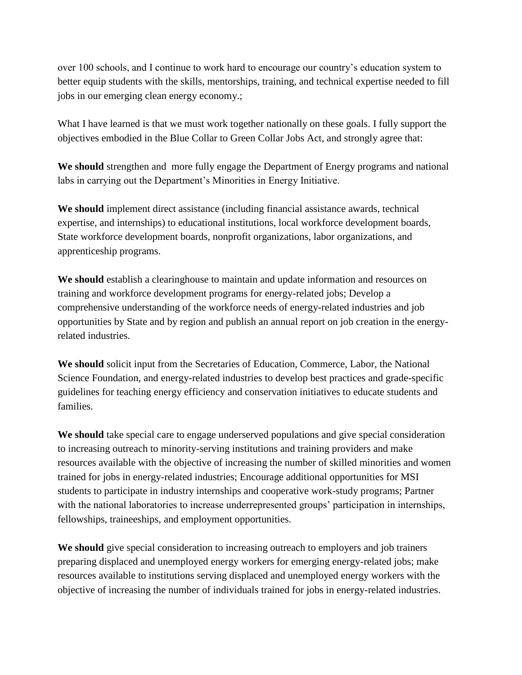over 100 schools, and I continue to work hard to encourage our country's education system to better equip students with the skills, mentorships, training, and technical expertise needed to fill jobs in our emerging clean energy economy.;

What I have learned is that we must work together nationally on these goals. I fully support the objectives embodied in the Blue Collar to Green Collar Jobs Act, and strongly agree that:

**We should** strengthen and more fully engage the Department of Energy programs and national labs in carrying out the Department's Minorities in Energy Initiative.

**We should** implement direct assistance (including financial assistance awards, technical expertise, and internships) to educational institutions, local workforce development boards, State workforce development boards, nonprofit organizations, labor organizations, and apprenticeship programs.

**We should** establish a clearinghouse to maintain and update information and resources on training and workforce development programs for energy-related jobs; Develop a comprehensive understanding of the workforce needs of energy-related industries and job opportunities by State and by region and publish an annual report on job creation in the energyrelated industries.

**We should** solicit input from the Secretaries of Education, Commerce, Labor, the National Science Foundation, and energy-related industries to develop best practices and grade-specific guidelines for teaching energy efficiency and conservation initiatives to educate students and families.

**We should** take special care to engage underserved populations and give special consideration to increasing outreach to minority-serving institutions and training providers and make resources available with the objective of increasing the number of skilled minorities and women trained for jobs in energy-related industries; Encourage additional opportunities for MSI students to participate in industry internships and cooperative work-study programs; Partner with the national laboratories to increase underrepresented groups' participation in internships, fellowships, traineeships, and employment opportunities.

**We should** give special consideration to increasing outreach to employers and job trainers preparing displaced and unemployed energy workers for emerging energy-related jobs; make resources available to institutions serving displaced and unemployed energy workers with the objective of increasing the number of individuals trained for jobs in energy-related industries.